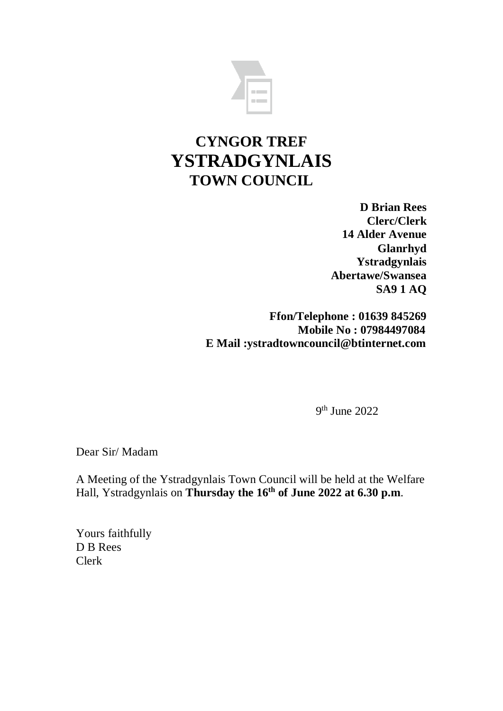

# **CYNGOR TREF YSTRADGYNLAIS TOWN COUNCIL**

**D Brian Rees Clerc/Clerk 14 Alder Avenue Glanrhyd Ystradgynlais Abertawe/Swansea SA9 1 AQ**

**Ffon/Telephone : 01639 845269 Mobile No : 07984497084 E Mail :ystradtowncouncil@btinternet.com**

9 th June 2022

Dear Sir/ Madam

A Meeting of the Ystradgynlais Town Council will be held at the Welfare Hall, Ystradgynlais on **Thursday the 16th of June 2022 at 6.30 p.m**.

Yours faithfully D B Rees Clerk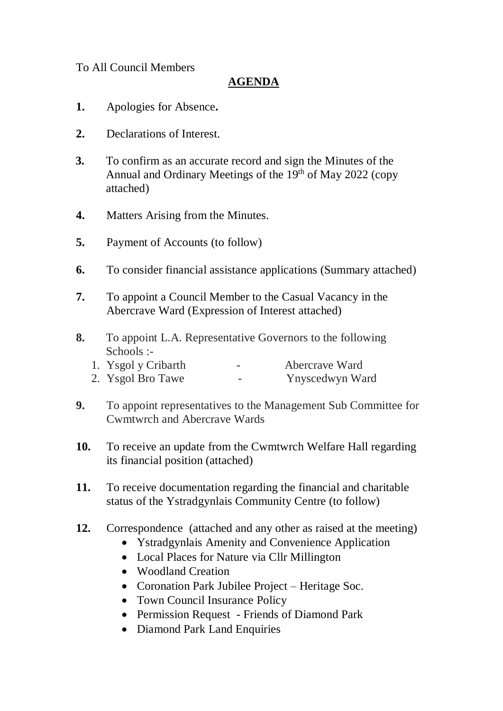#### To All Council Members

#### **AGENDA**

- **1.** Apologies for Absence**.**
- **2.** Declarations of Interest.
- **3.** To confirm as an accurate record and sign the Minutes of the Annual and Ordinary Meetings of the  $19<sup>th</sup>$  of May 2022 (copy attached)
- **4.** Matters Arising from the Minutes.
- **5.** Payment of Accounts (to follow)
- **6.** To consider financial assistance applications (Summary attached)
- **7.** To appoint a Council Member to the Casual Vacancy in the Abercrave Ward (Expression of Interest attached)
- **8.** To appoint L.A. Representative Governors to the following Schools :-
	- 1. Ysgol y Cribarth Abercrave Ward
	- 2. Ysgol Bro Tawe Ynyscedwyn Ward
- **9.** To appoint representatives to the Management Sub Committee for Cwmtwrch and Abercrave Wards
- **10.** To receive an update from the Cwmtwrch Welfare Hall regarding its financial position (attached)
- **11.** To receive documentation regarding the financial and charitable status of the Ystradgynlais Community Centre (to follow)
- **12.** Correspondence (attached and any other as raised at the meeting)
	- Ystradgynlais Amenity and Convenience Application
	- Local Places for Nature via Cllr Millington
	- Woodland Creation
	- Coronation Park Jubilee Project Heritage Soc.
	- Town Council Insurance Policy
	- Permission Request Friends of Diamond Park
	- Diamond Park Land Enquiries